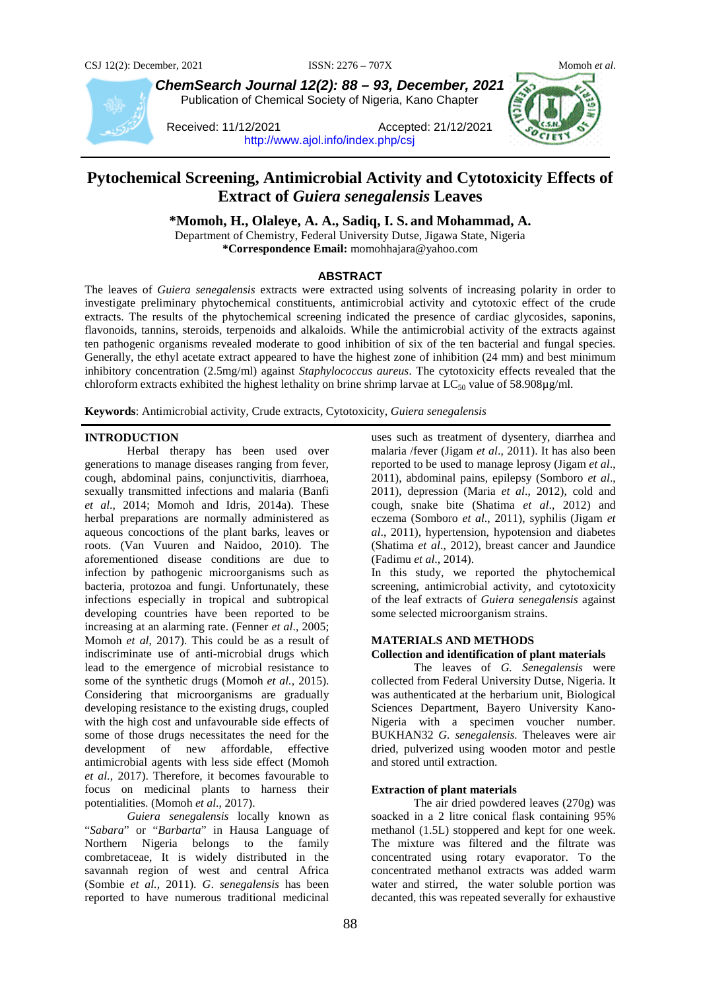

*ChemSearch Journal 12(2): 88 – 93, December, 2021* Publication of Chemical Society of Nigeria, Kano Chapter

Received: 11/12/2021 Accepted: 21/12/2021 <http://www.ajol.info/index.php/csj>



# **Pytochemical Screening, Antimicrobial Activity and Cytotoxicity Effects of Extract of** *Guiera senegalensis* **Leaves**

**\*Momoh, H., Olaleye, A. A., Sadiq, I. S. and Mohammad, A.**

Department of Chemistry, Federal University Dutse, Jigawa State, Nigeria **\*Correspondence Email:** momohhajara@yahoo.com

## **ABSTRACT**

The leaves of *Guiera senegalensis* extracts were extracted using solvents of increasing polarity in order to investigate preliminary phytochemical constituents, antimicrobial activity and cytotoxic effect of the crude extracts. The results of the phytochemical screening indicated the presence of cardiac glycosides, saponins, flavonoids, tannins, steroids, terpenoids and alkaloids. While the antimicrobial activity of the extracts against ten pathogenic organisms revealed moderate to good inhibition of six of the ten bacterial and fungal species. Generally, the ethyl acetate extract appeared to have the highest zone of inhibition (24 mm) and best minimum inhibitory concentration (2.5mg/ml) against *Staphylococcus aureus*. The cytotoxicity effects revealed that the chloroform extracts exhibited the highest lethality on brine shrimp larvae at  $LC_{50}$  value of 58.908µg/ml.

**Keywords**: Antimicrobial activity, Crude extracts, Cytotoxicity, *Guiera senegalensis*

## **INTRODUCTION**

Herbal therapy has been used over generations to manage diseases ranging from fever, cough, abdominal pains, conjunctivitis, diarrhoea, sexually transmitted infections and malaria (Banfi *et al*., 2014; Momoh and Idris, 2014a). These herbal preparations are normally administered as aqueous concoctions of the plant barks, leaves or roots. (Van Vuuren and Naidoo, 2010). The aforementioned disease conditions are due to infection by pathogenic microorganisms such as bacteria, protozoa and fungi. Unfortunately, these infections especially in tropical and subtropical developing countries have been reported to be increasing at an alarming rate. (Fenner *et al*., 2005; Momoh *et al*, 2017). This could be as a result of indiscriminate use of anti-microbial drugs which lead to the emergence of microbial resistance to some of the synthetic drugs (Momoh *et al.,* 2015). Considering that microorganisms are gradually developing resistance to the existing drugs, coupled with the high cost and unfavourable side effects of some of those drugs necessitates the need for the development of new affordable, effective antimicrobial agents with less side effect (Momoh *et al.*, 2017). Therefore, it becomes favourable to focus on medicinal plants to harness their potentialities. (Momoh *et al*., 2017).

*Guiera senegalensis* locally known as "*Sabara*" or "*Barbarta*" in Hausa Language of Northern Nigeria belongs to the family combretaceae, It is widely distributed in the savannah region of west and central Africa (Sombie *et al.,* 2011). *G*. *senegalensis* has been reported to have numerous traditional medicinal

uses such as treatment of dysentery, diarrhea and malaria /fever (Jigam *et al*., 2011). It has also been reported to be used to manage leprosy (Jigam *et al*., 2011), abdominal pains, epilepsy (Somboro *et al*., 2011), depression (Maria *et al*., 2012), cold and cough, snake bite (Shatima *et al*., 2012) and eczema (Somboro *et al*., 2011), syphilis (Jigam *et al*., 2011), hypertension, hypotension and diabetes (Shatima *et al*., 2012), breast cancer and Jaundice (Fadimu *et al*., 2014).

In this study, we reported the phytochemical screening, antimicrobial activity, and cytotoxicity of the leaf extracts of *Guiera senegalensis* against some selected microorganism strains.

## **MATERIALS AND METHODS**

## **Collection and identification of plant materials**

The leaves of *G. Senegalensis* were collected from Federal University Dutse, Nigeria. It was authenticated at the herbarium unit, Biological Sciences Department, Bayero University Kano-Nigeria with a specimen voucher number. BUKHAN32 *G. senegalensis.* Theleaves were air dried, pulverized using wooden motor and pestle and stored until extraction.

### **Extraction of plant materials**

The air dried powdered leaves (270g) was soacked in a 2 litre conical flask containing 95% methanol (1.5L) stoppered and kept for one week. The mixture was filtered and the filtrate was concentrated using rotary evaporator. To the concentrated methanol extracts was added warm water and stirred, the water soluble portion was decanted, this was repeated severally for exhaustive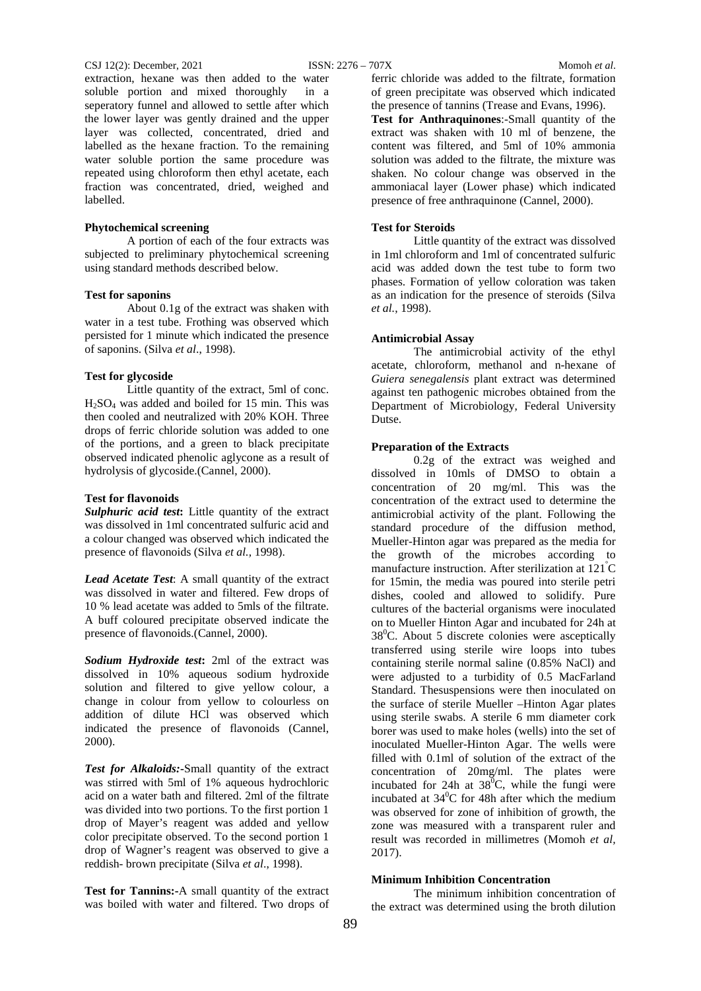#### CSJ 12(2): December, 2021 ISSN: 2276 – 707X Momoh *et al*.

extraction, hexane was then added to the water soluble portion and mixed thoroughly in a seperatory funnel and allowed to settle after which the lower layer was gently drained and the upper layer was collected, concentrated, dried and labelled as the hexane fraction. To the remaining water soluble portion the same procedure was repeated using chloroform then ethyl acetate, each fraction was concentrated, dried, weighed and labelled.

## **Phytochemical screening**

A portion of each of the four extracts was subjected to preliminary phytochemical screening using standard methods described below.

### **Test for saponins**

About 0.1g of the extract was shaken with water in a test tube. Frothing was observed which persisted for 1 minute which indicated the presence of saponins. (Silva *et al*., 1998).

#### **Test for glycoside**

Little quantity of the extract, 5ml of conc.  $H<sub>2</sub>SO<sub>4</sub>$  was added and boiled for 15 min. This was then cooled and neutralized with 20% KOH. Three drops of ferric chloride solution was added to one of the portions, and a green to black precipitate observed indicated phenolic aglycone as a result of hydrolysis of glycoside.(Cannel, 2000).

#### **Test for flavonoids**

*Sulphuric acid test***:** Little quantity of the extract was dissolved in 1ml concentrated sulfuric acid and a colour changed was observed which indicated the presence of flavonoids (Silva *et al.,* 1998).

*Lead Acetate Test*: A small quantity of the extract was dissolved in water and filtered. Few drops of 10 % lead acetate was added to 5mls of the filtrate. A buff coloured precipitate observed indicate the presence of flavonoids.(Cannel, 2000).

*Sodium Hydroxide test***:** 2ml of the extract was dissolved in 10% aqueous sodium hydroxide solution and filtered to give yellow colour, a change in colour from yellow to colourless on addition of dilute HCl was observed which indicated the presence of flavonoids (Cannel, 2000).

*Test for Alkaloids:***-**Small quantity of the extract was stirred with 5ml of 1% aqueous hydrochloric acid on a water bath and filtered. 2ml of the filtrate was divided into two portions. To the first portion 1 drop of Mayer's reagent was added and yellow color precipitate observed. To the second portion 1 drop of Wagner's reagent was observed to give a reddish- brown precipitate (Silva *et al*., 1998).

**Test for Tannins:-**A small quantity of the extract was boiled with water and filtered. Two drops of ferric chloride was added to the filtrate, formation of green precipitate was observed which indicated the presence of tannins (Trease and Evans, 1996).

**Test for Anthraquinones**:-Small quantity of the extract was shaken with 10 ml of benzene, the content was filtered, and 5ml of 10% ammonia solution was added to the filtrate, the mixture was shaken. No colour change was observed in the ammoniacal layer (Lower phase) which indicated presence of free anthraquinone (Cannel, 2000).

#### **Test for Steroids**

Little quantity of the extract was dissolved in 1ml chloroform and 1ml of concentrated sulfuric acid was added down the test tube to form two phases. Formation of yellow coloration was taken as an indication for the presence of steroids (Silva *et al.*, 1998).

#### **Antimicrobial Assay**

The antimicrobial activity of the ethyl acetate, chloroform, methanol and n-hexane of *Guiera senegalensis* plant extract was determined against ten pathogenic microbes obtained from the Department of Microbiology, Federal University Dutse.

## **Preparation of the Extracts**

0.2g of the extract was weighed and dissolved in 10mls of DMSO to obtain a concentration of 20 mg/ml. This was the concentration of the extract used to determine the antimicrobial activity of the plant. Following the standard procedure of the diffusion method, Mueller-Hinton agar was prepared as the media for the growth of the microbes according to manufacture instruction. After sterilization at 121<sup>º</sup> C for 15min, the media was poured into sterile petri dishes, cooled and allowed to solidify. Pure cultures of the bacterial organisms were inoculated on to Mueller Hinton Agar and incubated for 24h at  $38^{\circ}$ C. About 5 discrete colonies were asceptically transferred using sterile wire loops into tubes containing sterile normal saline (0.85% NaCl) and were adjusted to a turbidity of 0.5 MacFarland Standard. Thesuspensions were then inoculated on the surface of sterile Mueller –Hinton Agar plates using sterile swabs. A sterile 6 mm diameter cork borer was used to make holes (wells) into the set of inoculated Mueller-Hinton Agar. The wells were filled with 0.1ml of solution of the extract of the concentration of 20mg/ml. The plates were incubated for 24h at  $38^{\circ}$ C, while the fungi were incubated at  $34^{\circ}$ C for 48h after which the medium was observed for zone of inhibition of growth, the zone was measured with a transparent ruler and result was recorded in millimetres (Momoh *et al,* 2017).

#### **Minimum Inhibition Concentration**

The minimum inhibition concentration of the extract was determined using the broth dilution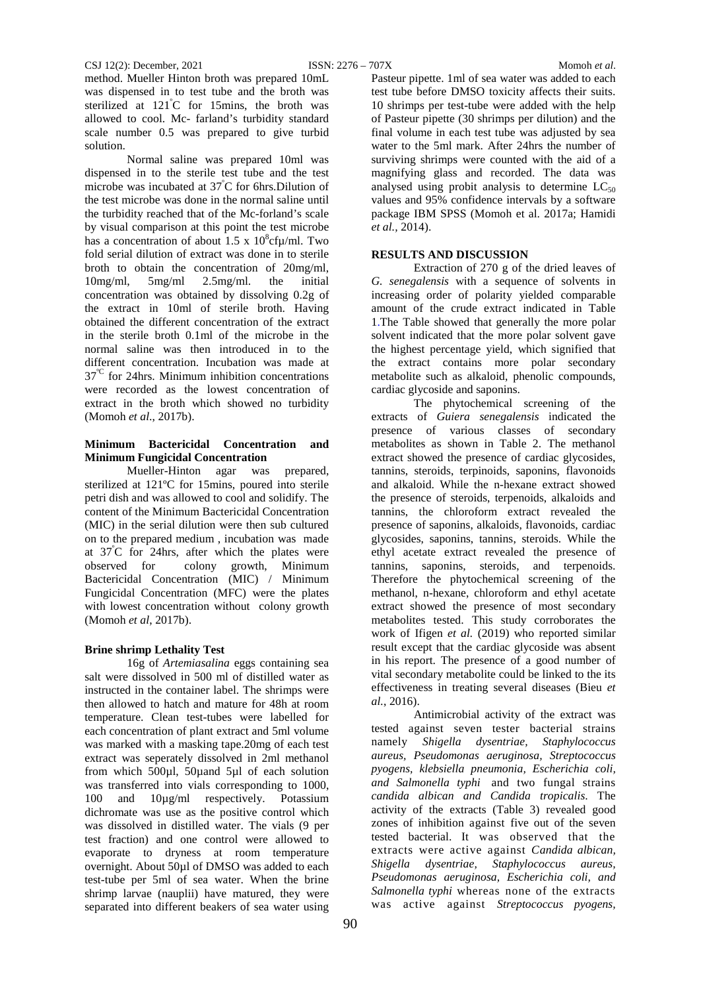method. Mueller Hinton broth was prepared 10mL was dispensed in to test tube and the broth was sterilized at 121<sup>º</sup> C for 15mins, the broth was allowed to cool. Mc- farland's turbidity standard scale number 0.5 was prepared to give turbid solution.

Normal saline was prepared 10ml was dispensed in to the sterile test tube and the test microbe was incubated at  $37^{\circ}$ C for 6hrs. Dilution of the test microbe was done in the normal saline until the turbidity reached that of the Mc-forland's scale by visual comparison at this point the test microbe has a concentration of about 1.5 x  $10^8$ cf $\mu$ /ml. Two fold serial dilution of extract was done in to sterile broth to obtain the concentration of 20mg/ml, 10mg/ml, 5mg/ml 2.5mg/ml. the initial concentration was obtained by dissolving 0.2g of the extract in 10ml of sterile broth. Having obtained the different concentration of the extract in the sterile broth 0.1ml of the microbe in the normal saline was then introduced in to the different concentration. Incubation was made at 37<sup>°C</sup> for 24hrs. Minimum inhibition concentrations were recorded as the lowest concentration of extract in the broth which showed no turbidity (Momoh *et al*., 2017b).

## **Minimum Bactericidal Concentration and Minimum Fungicidal Concentration**

Mueller-Hinton agar was prepared, sterilized at 121ºC for 15mins, poured into sterile petri dish and was allowed to cool and solidify. The content of the Minimum Bactericidal Concentration (MIC) in the serial dilution were then sub cultured on to the prepared medium , incubation was made at 37<sup>º</sup> C for 24hrs, after which the plates were observed for colony growth, Minimum Bactericidal Concentration (MIC) / Minimum Fungicidal Concentration (MFC) were the plates with lowest concentration without colony growth (Momoh *et al*, 2017b).

## **Brine shrimp Lethality Test**

16g of *Artemiasalina* eggs containing sea salt were dissolved in 500 ml of distilled water as instructed in the container label. The shrimps were then allowed to hatch and mature for 48h at room temperature. Clean test-tubes were labelled for each concentration of plant extract and 5ml volume was marked with a masking tape.20mg of each test extract was seperately dissolved in 2ml methanol from which  $500\mu$ l,  $50\mu$ and  $5\mu$ l of each solution was transferred into vials corresponding to 1000, 100 and 10µg/ml respectively. Potassium dichromate was use as the positive control which was dissolved in distilled water. The vials (9 per test fraction) and one control were allowed to evaporate to dryness at room temperature overnight. About 50µl of DMSO was added to each test-tube per 5ml of sea water. When the brine shrimp larvae (nauplii) have matured, they were separated into different beakers of sea water using

Pasteur pipette. 1ml of sea water was added to each test tube before DMSO toxicity affects their suits. 10 shrimps per test-tube were added with the help of Pasteur pipette (30 shrimps per dilution) and the final volume in each test tube was adjusted by sea water to the 5ml mark. After 24hrs the number of surviving shrimps were counted with the aid of a magnifying glass and recorded. The data was analysed using probit analysis to determine  $LC_{50}$ values and 95% confidence intervals by a software package IBM SPSS (Momoh et al. 2017a; Hamidi *et al.,* 2014).

## **RESULTS AND DISCUSSION**

Extraction of 270 g of the dried leaves of *G. senegalensis* with a sequence of solvents in increasing order of polarity yielded comparable amount of the crude extract indicated in Table 1.The Table showed that generally the more polar solvent indicated that the more polar solvent gave the highest percentage yield, which signified that the extract contains more polar secondary metabolite such as alkaloid, phenolic compounds, cardiac glycoside and saponins.

The phytochemical screening of the extracts of *Guiera senegalensis* indicated the presence of various classes of secondary metabolites as shown in Table 2. The methanol extract showed the presence of cardiac glycosides, tannins, steroids, terpinoids, saponins, flavonoids and alkaloid. While the n-hexane extract showed the presence of steroids, terpenoids, alkaloids and tannins, the chloroform extract revealed the presence of saponins, alkaloids, flavonoids, cardiac glycosides, saponins, tannins, steroids. While the ethyl acetate extract revealed the presence of tannins, saponins, steroids, and terpenoids. Therefore the phytochemical screening of the methanol, n-hexane, chloroform and ethyl acetate extract showed the presence of most secondary metabolites tested. This study corroborates the work of Ifigen *et al.* (2019) who reported similar result except that the cardiac glycoside was absent in his report. The presence of a good number of vital secondary metabolite could be linked to the its effectiveness in treating several diseases (Bieu *et al.*, 2016).

Antimicrobial activity of the extract was tested against seven tester bacterial strains namely *Shigella dysentriae, Staphylococcus aureus, Pseudomonas aeruginosa, Streptococcus pyogens, klebsiella pneumonia, Escherichia coli, and Salmonella typhi* and two fungal strains *candida albican and Candida tropicalis*. The activity of the extracts (Table 3) revealed good zones of inhibition against five out of the seven tested bacterial. It was observed that the extracts were active against *Candida albican, Shigella dysentriae, Staphylococcus aureus, Pseudomonas aeruginosa, Escherichia coli, and Salmonella typhi* whereas none of the extracts was active against *Streptococcus pyogens,*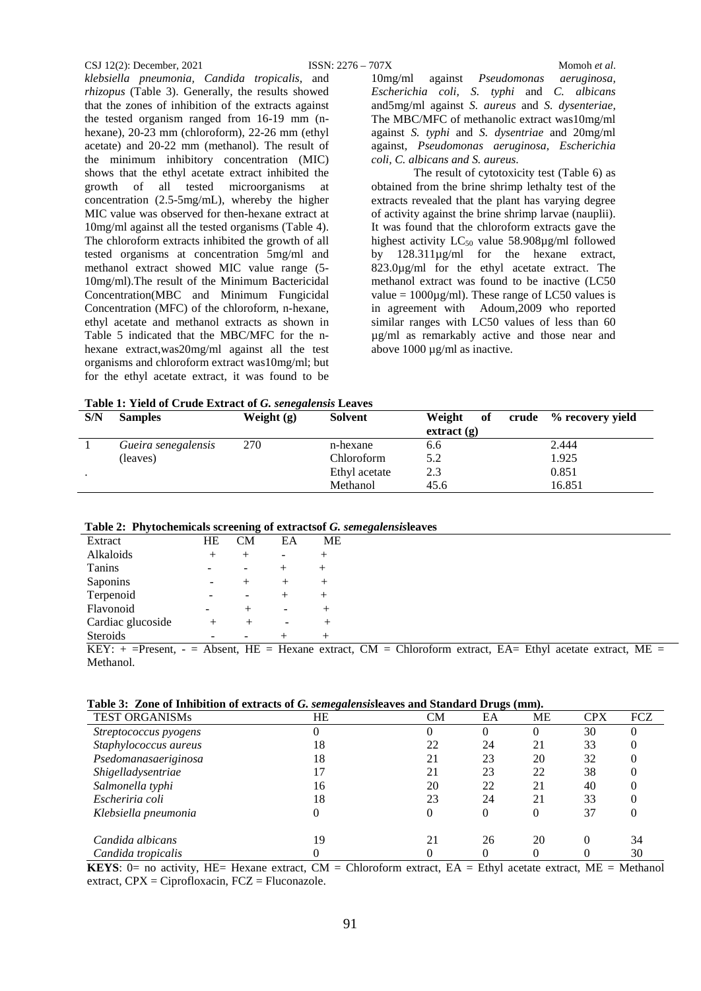#### CSJ 12(2): December, 2021 ISSN: 2276 – 707X Momoh *et al*.

Methanol.

*klebsiella pneumonia, Candida tropicalis*, and *rhizopus* (Table 3). Generally, the results showed that the zones of inhibition of the extracts against the tested organism ranged from 16-19 mm (nhexane), 20-23 mm (chloroform), 22-26 mm (ethyl acetate) and 20-22 mm (methanol). The result of the minimum inhibitory concentration (MIC) shows that the ethyl acetate extract inhibited the growth of all tested microorganisms at concentration (2.5-5mg/mL), whereby the higher MIC value was observed for then-hexane extract at 10mg/ml against all the tested organisms (Table 4). The chloroform extracts inhibited the growth of all tested organisms at concentration 5mg/ml and methanol extract showed MIC value range (5- 10mg/ml).The result of the Minimum Bactericidal Concentration(MBC and Minimum Fungicidal Concentration (MFC) of the chloroform, n-hexane, ethyl acetate and methanol extracts as shown in Table 5 indicated that the MBC/MFC for the nhexane extract,was20mg/ml against all the test organisms and chloroform extract was10mg/ml; but for the ethyl acetate extract, it was found to be

10mg/ml against *Pseudomonas aeruginosa, Escherichia coli, S. typhi* and *C. albicans* and5mg/ml against *S. aureus* and *S. dysenteriae,*  The MBC/MFC of methanolic extract was10mg/ml against *S. typhi* and *S. dysentriae* and 20mg/ml against*, Pseudomonas aeruginosa, Escherichia coli, C. albicans and S. aureus*.

The result of cytotoxicity test (Table 6) as obtained from the brine shrimp lethalty test of the extracts revealed that the plant has varying degree of activity against the brine shrimp larvae (nauplii). It was found that the chloroform extracts gave the highest activity  $LC_{50}$  value 58.908 $\mu$ g/ml followed by 128.311µg/ml for the hexane extract, 823.0µg/ml for the ethyl acetate extract. The methanol extract was found to be inactive (LC50 value =  $1000\mu\text{g/ml}$ . These range of LC50 values is in agreement with Adoum,2009 who reported similar ranges with LC50 values of less than 60 µg/ml as remarkably active and those near and above 1000 µg/ml as inactive.

**Table 1: Yield of Crude Extract of** *G. senegalensis* **Leaves**

| S/N | <b>Samples</b>      | Weight $(g)$ | <b>Solvent</b> | Weight<br>of | crude % recovery yield |
|-----|---------------------|--------------|----------------|--------------|------------------------|
|     |                     |              |                | extract(g)   |                        |
|     | Gueira senegalensis | 270          | n-hexane       | 6.6          | 2.444                  |
|     | (leaves)            |              | Chloroform     | 5.2          | 1.925                  |
|     |                     |              | Ethyl acetate  | 2.3          | 0.851                  |
|     |                     |              | Methanol       | 45.6         | 16.851                 |

|  |  |  | Table 2: Phytochemicals screening of extracts of G. semegalensisleaves |  |
|--|--|--|------------------------------------------------------------------------|--|
|--|--|--|------------------------------------------------------------------------|--|

|                   |    | -         |    |        | $\cdot$                                                                                                        |
|-------------------|----|-----------|----|--------|----------------------------------------------------------------------------------------------------------------|
| Extract           | HE | <b>CM</b> | EA | МE     |                                                                                                                |
| Alkaloids         |    |           | ۰  |        |                                                                                                                |
| Tanins            |    |           |    |        |                                                                                                                |
| Saponins          |    |           |    | $^{+}$ |                                                                                                                |
| Terpenoid         |    |           |    |        |                                                                                                                |
| Flavonoid         |    |           |    |        |                                                                                                                |
| Cardiac glucoside |    |           |    |        |                                                                                                                |
| <b>Steroids</b>   |    |           |    | $^{+}$ |                                                                                                                |
|                   |    |           |    |        | KEY: $+$ =Present, $-$ = Absent, HE = Hexane extract, CM = Chloroform extract, EA= Ethyl acetate extract, ME = |

|  | Table 3: Zone of Inhibition of extracts of G. semegalensisleaves and Standard Drugs (mm). |  |  |  |  |  |  |  |
|--|-------------------------------------------------------------------------------------------|--|--|--|--|--|--|--|
|--|-------------------------------------------------------------------------------------------|--|--|--|--|--|--|--|

| <b>TEST ORGANISMs</b> | HE | CM | EA       | <b>ME</b> | <b>CPX</b> | <b>FCZ</b> |
|-----------------------|----|----|----------|-----------|------------|------------|
| Streptococcus pyogens |    | O  | $\Omega$ | $\theta$  | 30         |            |
| Staphylococcus aureus | 18 | 22 | 24       | 21        | 33         |            |
| Psedomanasaeriginosa  | 18 | 21 | 23       | 20        | 32         |            |
| Shigelladysentriae    |    | 21 | 23       | 22        | 38         |            |
| Salmonella typhi      | 16 | 20 | 22       | 21        | 40         |            |
| Escheriria coli       | 18 | 23 | 24       | 21        | 33         |            |
| Klebsiella pneumonia  |    | 0  | $\Omega$ | 0         | 37         |            |
| Candida albicans      | 19 | 21 | 26       | 20        |            | 34         |
| Candida tropicalis    |    |    |          |           |            | 30         |

**KEYS**: 0= no activity, HE= Hexane extract, CM = Chloroform extract, EA = Ethyl acetate extract, ME = Methanol extract, CPX = Ciprofloxacin, FCZ = Fluconazole.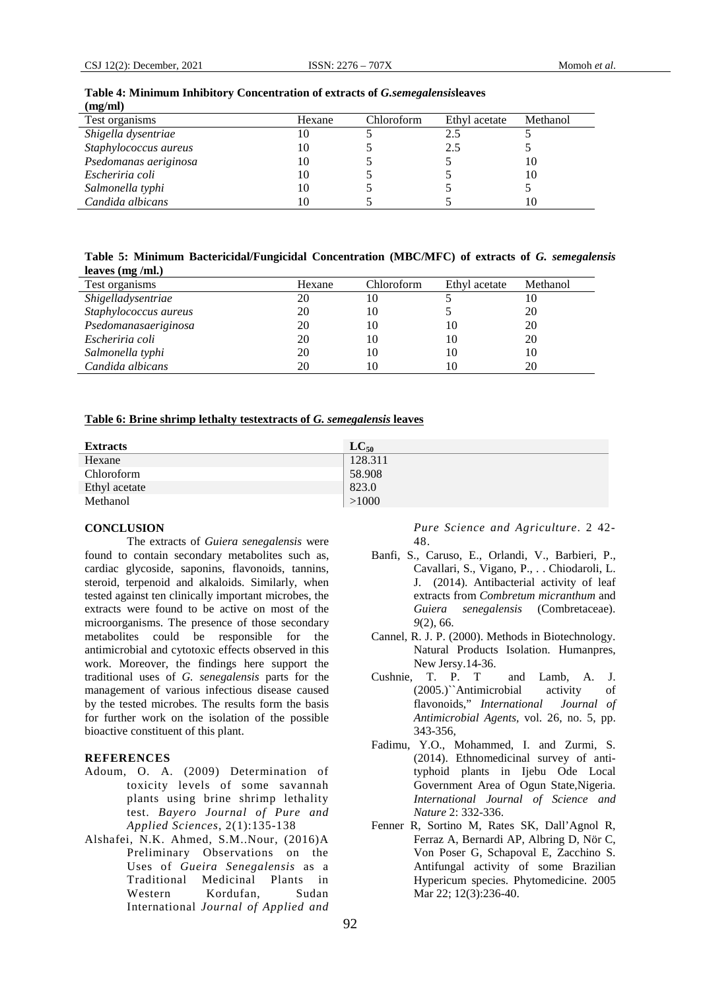| $(\mathbf{m}\mathbf{g}/\mathbf{m})$ |        |            |               |          |
|-------------------------------------|--------|------------|---------------|----------|
| Test organisms                      | Hexane | Chloroform | Ethyl acetate | Methanol |
| Shigella dysentriae                 | 10     |            | 2.5           |          |
| Staphylococcus aureus               | 10     |            | 2.5           |          |
| Psedomanas aeriginosa               | 10     |            |               | 10       |
| Escheriria coli                     | 10     |            |               | 10       |
| Salmonella typhi                    | 10     |            |               |          |
| Candida albicans                    | 10     |            |               |          |

#### **Table 4: Minimum Inhibitory Concentration of extracts of** *G.semegalensis***leaves (mg/ml)**

**Table 5: Minimum Bactericidal/Fungicidal Concentration (MBC/MFC) of extracts of** *G. semegalensis*  **leaves (mg /ml.)**

| Test organisms        | Hexane | Chloroform | Ethyl acetate | Methanol |
|-----------------------|--------|------------|---------------|----------|
| Shigelladysentriae    | 20     | 10         |               | 10       |
| Staphylococcus aureus | 20     | 10         |               | 20       |
| Psedomanasaeriginosa  | 20     | 10         | 10            | 20       |
| Escheriria coli       | 20     | 10         | 10            | 20       |
| Salmonella typhi      | 20     | 10         | 10            | 10       |
| Candida albicans      | 20     | 10         | 10            | 20       |

## **Table 6: Brine shrimp lethalty testextracts of** *G. semegalensis* **leaves**

| <b>Extracts</b> | $LC_{50}$ |
|-----------------|-----------|
| Hexane          | 128.311   |
| Chloroform      | 58.908    |
| Ethyl acetate   | 823.0     |
| Methanol        | >1000     |

#### **CONCLUSION**

The extracts of *Guiera senegalensis* were found to contain secondary metabolites such as, cardiac glycoside, saponins, flavonoids, tannins, steroid, terpenoid and alkaloids. Similarly, when tested against ten clinically important microbes, the extracts were found to be active on most of the microorganisms. The presence of those secondary metabolites could be responsible for the antimicrobial and cytotoxic effects observed in this work. Moreover, the findings here support the traditional uses of *G. senegalensis* parts for the management of various infectious disease caused by the tested microbes. The results form the basis for further work on the isolation of the possible bioactive constituent of this plant.

#### **REFERENCES**

- Adoum, O. A. (2009) Determination of toxicity levels of some savannah plants using brine shrimp lethality test. *Bayero Journal of Pure and Applied Sciences*, 2(1):135-138
- Alshafei, N.K. Ahmed, S.M..Nour, (2016)A Preliminary Observations on the Uses of *Gueira Senegalensis* as a Traditional Medicinal Plants in Western Kordufan, Sudan International *Journal of Applied and*

*Pure Science and Agriculture*. 2 42- 48.

- Banfi, S., Caruso, E., Orlandi, V., Barbieri, P., Cavallari, S., Vigano, P., . . Chiodaroli, L. J. (2014). Antibacterial activity of leaf extracts from *Combretum micranthum* and *Guiera senegalensis* (Combretaceae). *9*(2), 66.
- Cannel, R. J. P. (2000). Methods in Biotechnology. Natural Products Isolation. Humanpres, New Jersy.14-36.
- Cushnie, T. P. T and Lamb, A. J. (2005.)``Antimicrobial activity of flavonoids," *International Journal of Antimicrobial Agents,* vol. 26, no. 5, pp. 343-356,
- Fadimu, Y.O., Mohammed, I. and Zurmi, S. (2014). Ethnomedicinal survey of antityphoid plants in Ijebu Ode Local Government Area of Ogun State,Nigeria. *International Journal of Science and Nature* 2: 332-336.
- Fenner R, Sortino M, Rates SK, Dall'Agnol R, Ferraz A, Bernardi AP, Albring D, Nör C, Von Poser G, Schapoval E, Zacchino S. Antifungal activity of some Brazilian Hypericum species. Phytomedicine. 2005 Mar 22; 12(3):236-40.